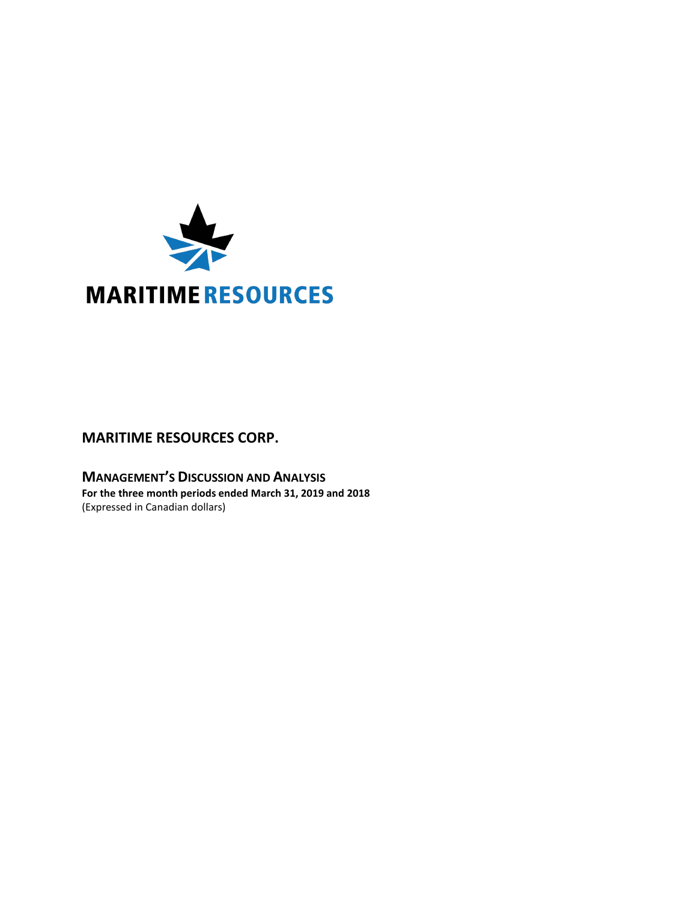

# **MARITIME RESOURCES CORP.**

**MANAGEMENT'S DISCUSSION AND ANALYSIS For the three month periods ended March 31, 2019 and 2018** (Expressed in Canadian dollars)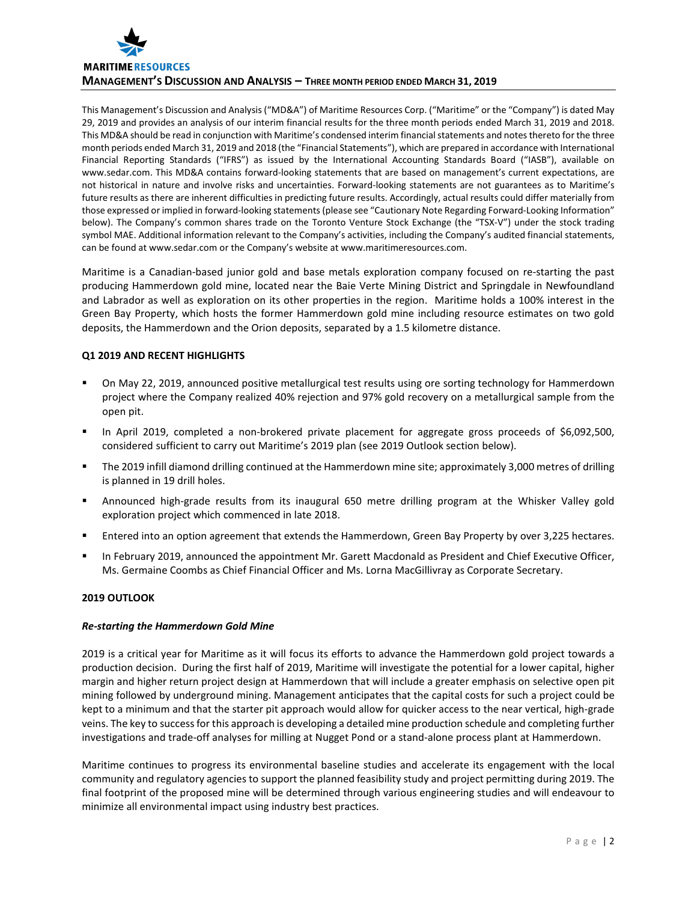

This Management's Discussion and Analysis ("MD&A") of Maritime Resources Corp. ("Maritime" or the "Company") is dated May 29, 2019 and provides an analysis of our interim financial results for the three month periods ended March 31, 2019 and 2018. This MD&A should be read in conjunction with Maritime's condensed interim financial statements and notes thereto for the three month periods ended March 31, 2019 and 2018 (the "Financial Statements"), which are prepared in accordance with International Financial Reporting Standards ("IFRS") as issued by the International Accounting Standards Board ("IASB"), available on www.sedar.com. This MD&A contains forward-looking statements that are based on management's current expectations, are not historical in nature and involve risks and uncertainties. Forward-looking statements are not guarantees as to Maritime's future results as there are inherent difficulties in predicting future results. Accordingly, actual results could differ materially from those expressed or implied in forward-looking statements (please see "Cautionary Note Regarding Forward-Looking Information" below). The Company's common shares trade on the Toronto Venture Stock Exchange (the "TSX-V") under the stock trading symbol MAE. Additional information relevant to the Company's activities, including the Company's audited financial statements, can be found at www.sedar.com or the Company's website at www.maritimeresources.com.

Maritime is a Canadian-based junior gold and base metals exploration company focused on re-starting the past producing Hammerdown gold mine, located near the Baie Verte Mining District and Springdale in Newfoundland and Labrador as well as exploration on its other properties in the region. Maritime holds a 100% interest in the Green Bay Property, which hosts the former Hammerdown gold mine including resource estimates on two gold deposits, the Hammerdown and the Orion deposits, separated by a 1.5 kilometre distance.

# **Q1 2019 AND RECENT HIGHLIGHTS**

- On May 22, 2019, announced positive metallurgical test results using ore sorting technology for Hammerdown project where the Company realized 40% rejection and 97% gold recovery on a metallurgical sample from the open pit.
- In April 2019, completed a non-brokered private placement for aggregate gross proceeds of \$6,092,500, considered sufficient to carry out Maritime's 2019 plan (see 2019 Outlook section below).
- The 2019 infill diamond drilling continued at the Hammerdown mine site; approximately 3,000 metres of drilling is planned in 19 drill holes.
- Announced high-grade results from its inaugural 650 metre drilling program at the Whisker Valley gold exploration project which commenced in late 2018.
- Entered into an option agreement that extends the Hammerdown, Green Bay Property by over 3,225 hectares.
- In February 2019, announced the appointment Mr. Garett Macdonald as President and Chief Executive Officer, Ms. Germaine Coombs as Chief Financial Officer and Ms. Lorna MacGillivray as Corporate Secretary.

#### **2019 OUTLOOK**

#### *Re-starting the Hammerdown Gold Mine*

2019 is a critical year for Maritime as it will focus its efforts to advance the Hammerdown gold project towards a production decision. During the first half of 2019, Maritime will investigate the potential for a lower capital, higher margin and higher return project design at Hammerdown that will include a greater emphasis on selective open pit mining followed by underground mining. Management anticipates that the capital costs for such a project could be kept to a minimum and that the starter pit approach would allow for quicker access to the near vertical, high-grade veins. The key to success for this approach is developing a detailed mine production schedule and completing further investigations and trade-off analyses for milling at Nugget Pond or a stand-alone process plant at Hammerdown.

Maritime continues to progress its environmental baseline studies and accelerate its engagement with the local community and regulatory agencies to support the planned feasibility study and project permitting during 2019. The final footprint of the proposed mine will be determined through various engineering studies and will endeavour to minimize all environmental impact using industry best practices.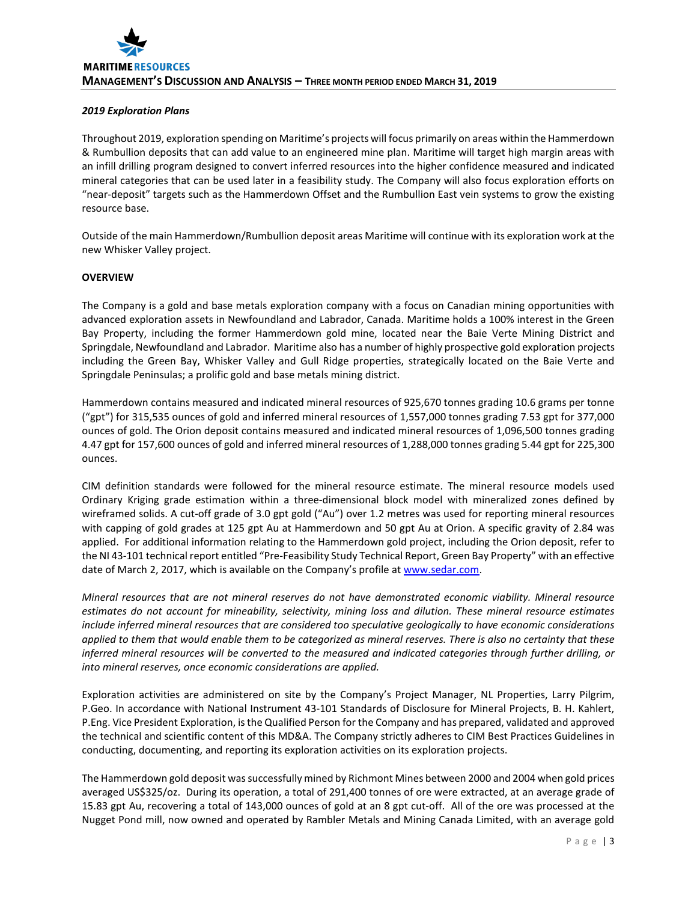## *2019 Exploration Plans*

Throughout 2019, exploration spending on Maritime's projects will focus primarily on areas within the Hammerdown & Rumbullion deposits that can add value to an engineered mine plan. Maritime will target high margin areas with an infill drilling program designed to convert inferred resources into the higher confidence measured and indicated mineral categories that can be used later in a feasibility study. The Company will also focus exploration efforts on "near-deposit" targets such as the Hammerdown Offset and the Rumbullion East vein systems to grow the existing resource base.

Outside of the main Hammerdown/Rumbullion deposit areas Maritime will continue with its exploration work at the new Whisker Valley project.

#### **OVERVIEW**

The Company is a gold and base metals exploration company with a focus on Canadian mining opportunities with advanced exploration assets in Newfoundland and Labrador, Canada. Maritime holds a 100% interest in the Green Bay Property, including the former Hammerdown gold mine, located near the Baie Verte Mining District and Springdale, Newfoundland and Labrador. Maritime also has a number of highly prospective gold exploration projects including the Green Bay, Whisker Valley and Gull Ridge properties, strategically located on the Baie Verte and Springdale Peninsulas; a prolific gold and base metals mining district.

Hammerdown contains measured and indicated mineral resources of 925,670 tonnes grading 10.6 grams per tonne ("gpt") for 315,535 ounces of gold and inferred mineral resources of 1,557,000 tonnes grading 7.53 gpt for 377,000 ounces of gold. The Orion deposit contains measured and indicated mineral resources of 1,096,500 tonnes grading 4.47 gpt for 157,600 ounces of gold and inferred mineral resources of 1,288,000 tonnes grading 5.44 gpt for 225,300 ounces.

CIM definition standards were followed for the mineral resource estimate. The mineral resource models used Ordinary Kriging grade estimation within a three-dimensional block model with mineralized zones defined by wireframed solids. A cut-off grade of 3.0 gpt gold ("Au") over 1.2 metres was used for reporting mineral resources with capping of gold grades at 125 gpt Au at Hammerdown and 50 gpt Au at Orion. A specific gravity of 2.84 was applied. For additional information relating to the Hammerdown gold project, including the Orion deposit, refer to the NI 43-101 technical report entitled "Pre-Feasibility Study Technical Report, Green Bay Property" with an effective date of March 2, 2017, which is available on the Company's profile at [www.sedar.com.](http://www.sedar.com/)

*Mineral resources that are not mineral reserves do not have demonstrated economic viability. Mineral resource estimates do not account for mineability, selectivity, mining loss and dilution. These mineral resource estimates include inferred mineral resources that are considered too speculative geologically to have economic considerations applied to them that would enable them to be categorized as mineral reserves. There is also no certainty that these inferred mineral resources will be converted to the measured and indicated categories through further drilling, or into mineral reserves, once economic considerations are applied.*

Exploration activities are administered on site by the Company's Project Manager, NL Properties, Larry Pilgrim, P.Geo. In accordance with National Instrument 43-101 Standards of Disclosure for Mineral Projects, B. H. Kahlert, P.Eng. Vice President Exploration, is the Qualified Person for the Company and has prepared, validated and approved the technical and scientific content of this MD&A. The Company strictly adheres to CIM Best Practices Guidelines in conducting, documenting, and reporting its exploration activities on its exploration projects.

The Hammerdown gold deposit was successfully mined by Richmont Mines between 2000 and 2004 when gold prices averaged US\$325/oz. During its operation, a total of 291,400 tonnes of ore were extracted, at an average grade of 15.83 gpt Au, recovering a total of 143,000 ounces of gold at an 8 gpt cut-off. All of the ore was processed at the Nugget Pond mill, now owned and operated by Rambler Metals and Mining Canada Limited, with an average gold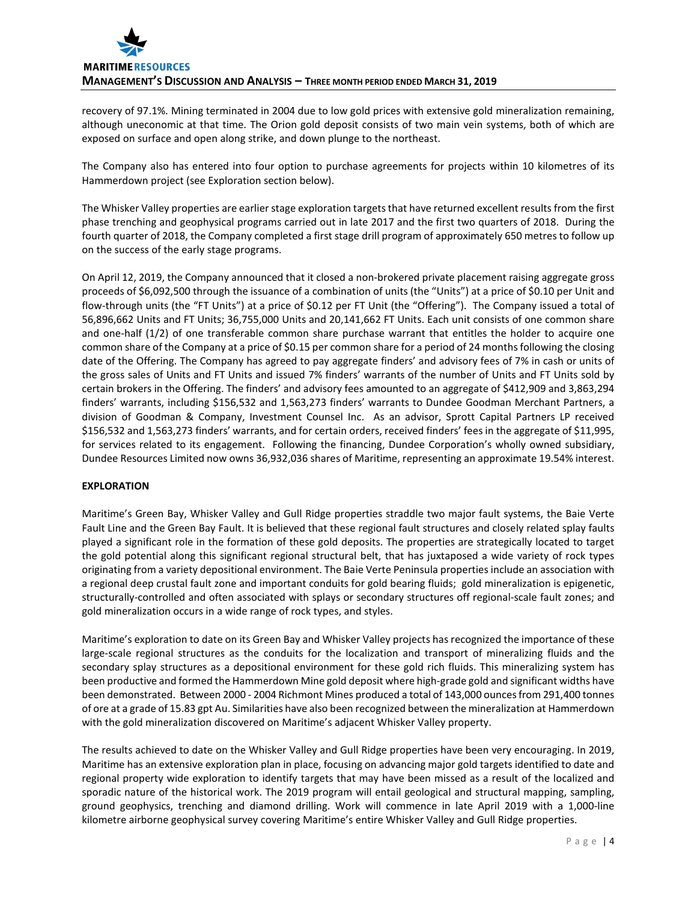recovery of 97.1%. Mining terminated in 2004 due to low gold prices with extensive gold mineralization remaining, although uneconomic at that time. The Orion gold deposit consists of two main vein systems, both of which are exposed on surface and open along strike, and down plunge to the northeast.

The Company also has entered into four option to purchase agreements for projects within 10 kilometres of its Hammerdown project (see Exploration section below).

The Whisker Valley properties are earlier stage exploration targets that have returned excellent results from the first phase trenching and geophysical programs carried out in late 2017 and the first two quarters of 2018. During the fourth quarter of 2018, the Company completed a first stage drill program of approximately 650 metres to follow up on the success of the early stage programs.

On April 12, 2019, the Company announced that it closed a non-brokered private placement raising aggregate gross proceeds of \$6,092,500 through the issuance of a combination of units (the "Units") at a price of \$0.10 per Unit and flow-through units (the "FT Units") at a price of \$0.12 per FT Unit (the "Offering"). The Company issued a total of 56,896,662 Units and FT Units; 36,755,000 Units and 20,141,662 FT Units. Each unit consists of one common share and one-half (1/2) of one transferable common share purchase warrant that entitles the holder to acquire one common share of the Company at a price of \$0.15 per common share for a period of 24 months following the closing date of the Offering. The Company has agreed to pay aggregate finders' and advisory fees of 7% in cash or units of the gross sales of Units and FT Units and issued 7% finders' warrants of the number of Units and FT Units sold by certain brokers in the Offering. The finders' and advisory fees amounted to an aggregate of \$412,909 and 3,863,294 finders' warrants, including \$156,532 and 1,563,273 finders' warrants to Dundee Goodman Merchant Partners, a division of Goodman & Company, Investment Counsel Inc. As an advisor, Sprott Capital Partners LP received \$156,532 and 1,563,273 finders' warrants, and for certain orders, received finders' fees in the aggregate of \$11,995, for services related to its engagement. Following the financing, Dundee Corporation's wholly owned subsidiary, Dundee Resources Limited now owns 36,932,036 shares of Maritime, representing an approximate 19.54% interest.

#### **EXPLORATION**

Maritime's Green Bay, Whisker Valley and Gull Ridge properties straddle two major fault systems, the Baie Verte Fault Line and the Green Bay Fault. It is believed that these regional fault structures and closely related splay faults played a significant role in the formation of these gold deposits. The properties are strategically located to target the gold potential along this significant regional structural belt, that has juxtaposed a wide variety of rock types originating from a variety depositional environment. The Baie Verte Peninsula properties include an association with a regional deep crustal fault zone and important conduits for gold bearing fluids; gold mineralization is epigenetic, structurally-controlled and often associated with splays or secondary structures off regional-scale fault zones; and gold mineralization occurs in a wide range of rock types, and styles.

Maritime's exploration to date on its Green Bay and Whisker Valley projects has recognized the importance of these large-scale regional structures as the conduits for the localization and transport of mineralizing fluids and the secondary splay structures as a depositional environment for these gold rich fluids. This mineralizing system has been productive and formed the Hammerdown Mine gold deposit where high-grade gold and significant widths have been demonstrated. Between 2000 - 2004 Richmont Mines produced a total of 143,000 ounces from 291,400 tonnes of ore at a grade of 15.83 gpt Au. Similarities have also been recognized between the mineralization at Hammerdown with the gold mineralization discovered on Maritime's adjacent Whisker Valley property.

The results achieved to date on the Whisker Valley and Gull Ridge properties have been very encouraging. In 2019, Maritime has an extensive exploration plan in place, focusing on advancing major gold targets identified to date and regional property wide exploration to identify targets that may have been missed as a result of the localized and sporadic nature of the historical work. The 2019 program will entail geological and structural mapping, sampling, ground geophysics, trenching and diamond drilling. Work will commence in late April 2019 with a 1,000-line kilometre airborne geophysical survey covering Maritime's entire Whisker Valley and Gull Ridge properties.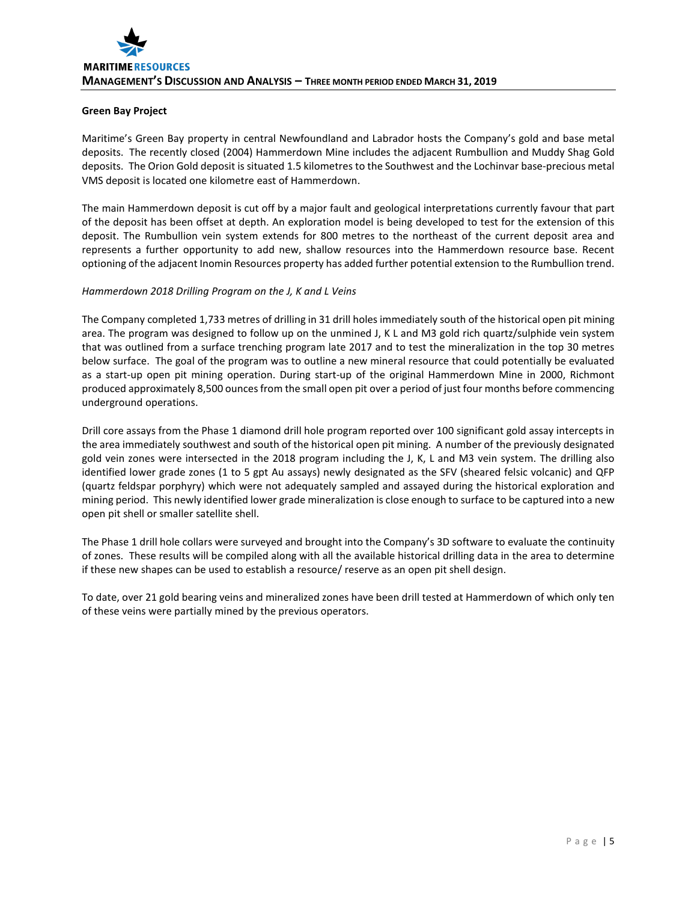# **Green Bay Project**

Maritime's Green Bay property in central Newfoundland and Labrador hosts the Company's gold and base metal deposits. The recently closed (2004) Hammerdown Mine includes the adjacent Rumbullion and Muddy Shag Gold deposits. The Orion Gold deposit is situated 1.5 kilometres to the Southwest and the Lochinvar base-precious metal VMS deposit is located one kilometre east of Hammerdown.

The main Hammerdown deposit is cut off by a major fault and geological interpretations currently favour that part of the deposit has been offset at depth. An exploration model is being developed to test for the extension of this deposit. The Rumbullion vein system extends for 800 metres to the northeast of the current deposit area and represents a further opportunity to add new, shallow resources into the Hammerdown resource base. Recent optioning of the adjacent Inomin Resources property has added further potential extension to the Rumbullion trend.

# *Hammerdown 2018 Drilling Program on the J, K and L Veins*

The Company completed 1,733 metres of drilling in 31 drill holes immediately south of the historical open pit mining area. The program was designed to follow up on the unmined J, K L and M3 gold rich quartz/sulphide vein system that was outlined from a surface trenching program late 2017 and to test the mineralization in the top 30 metres below surface. The goal of the program was to outline a new mineral resource that could potentially be evaluated as a start-up open pit mining operation. During start-up of the original Hammerdown Mine in 2000, Richmont produced approximately 8,500 ounces from the small open pit over a period of just four months before commencing underground operations.

Drill core assays from the Phase 1 diamond drill hole program reported over 100 significant gold assay intercepts in the area immediately southwest and south of the historical open pit mining. A number of the previously designated gold vein zones were intersected in the 2018 program including the J, K, L and M3 vein system. The drilling also identified lower grade zones (1 to 5 gpt Au assays) newly designated as the SFV (sheared felsic volcanic) and QFP (quartz feldspar porphyry) which were not adequately sampled and assayed during the historical exploration and mining period. This newly identified lower grade mineralization is close enough to surface to be captured into a new open pit shell or smaller satellite shell.

The Phase 1 drill hole collars were surveyed and brought into the Company's 3D software to evaluate the continuity of zones. These results will be compiled along with all the available historical drilling data in the area to determine if these new shapes can be used to establish a resource/ reserve as an open pit shell design.

To date, over 21 gold bearing veins and mineralized zones have been drill tested at Hammerdown of which only ten of these veins were partially mined by the previous operators.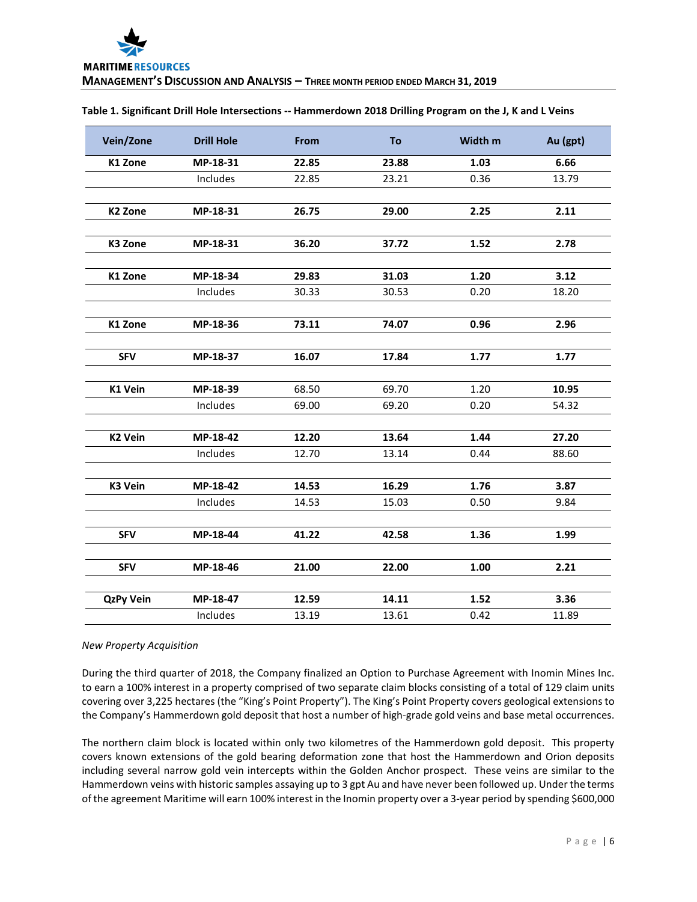| Table 1. Significant Drill Hole Intersections -- Hammerdown 2018 Drilling Program on the J, K and L Veins |  |  |
|-----------------------------------------------------------------------------------------------------------|--|--|
|-----------------------------------------------------------------------------------------------------------|--|--|

| Vein/Zone           | <b>Drill Hole</b> | From  | <b>To</b> | Width m | Au (gpt) |
|---------------------|-------------------|-------|-----------|---------|----------|
| K1 Zone             | MP-18-31          | 22.85 | 23.88     | 1.03    | 6.66     |
|                     | Includes          | 22.85 | 23.21     | 0.36    | 13.79    |
|                     |                   |       |           |         |          |
| K <sub>2</sub> Zone | MP-18-31          | 26.75 | 29.00     | 2.25    | 2.11     |
| K3 Zone             | MP-18-31          | 36.20 | 37.72     | 1.52    | 2.78     |
|                     |                   |       |           |         |          |
| K1 Zone             | MP-18-34          | 29.83 | 31.03     | 1.20    | 3.12     |
|                     | Includes          | 30.33 | 30.53     | 0.20    | 18.20    |
| K1 Zone             | MP-18-36          | 73.11 | 74.07     | 0.96    | 2.96     |
| <b>SFV</b>          | MP-18-37          | 16.07 | 17.84     | 1.77    | 1.77     |
| K1 Vein             | MP-18-39          | 68.50 | 69.70     | 1.20    | 10.95    |
|                     | Includes          | 69.00 | 69.20     | 0.20    | 54.32    |
|                     |                   |       |           |         |          |
| <b>K2 Vein</b>      | MP-18-42          | 12.20 | 13.64     | 1.44    | 27.20    |
|                     | Includes          | 12.70 | 13.14     | 0.44    | 88.60    |
| K3 Vein             | MP-18-42          | 14.53 | 16.29     | 1.76    | 3.87     |
|                     | Includes          | 14.53 | 15.03     | 0.50    | 9.84     |
| <b>SFV</b>          | MP-18-44          | 41.22 | 42.58     | 1.36    | 1.99     |
| <b>SFV</b>          | MP-18-46          | 21.00 | 22.00     | 1.00    | 2.21     |
| <b>QzPy Vein</b>    | MP-18-47          | 12.59 | 14.11     | 1.52    | 3.36     |
|                     | Includes          | 13.19 | 13.61     | 0.42    | 11.89    |

#### *New Property Acquisition*

During the third quarter of 2018, the Company finalized an Option to Purchase Agreement with Inomin Mines Inc. to earn a 100% interest in a property comprised of two separate claim blocks consisting of a total of 129 claim units covering over 3,225 hectares (the "King's Point Property"). The King's Point Property covers geological extensions to the Company's Hammerdown gold deposit that host a number of high-grade gold veins and base metal occurrences.

The northern claim block is located within only two kilometres of the Hammerdown gold deposit. This property covers known extensions of the gold bearing deformation zone that host the Hammerdown and Orion deposits including several narrow gold vein intercepts within the Golden Anchor prospect. These veins are similar to the Hammerdown veins with historic samples assaying up to 3 gpt Au and have never been followed up. Under the terms of the agreement Maritime will earn 100% interest in the Inomin property over a 3-year period by spending \$600,000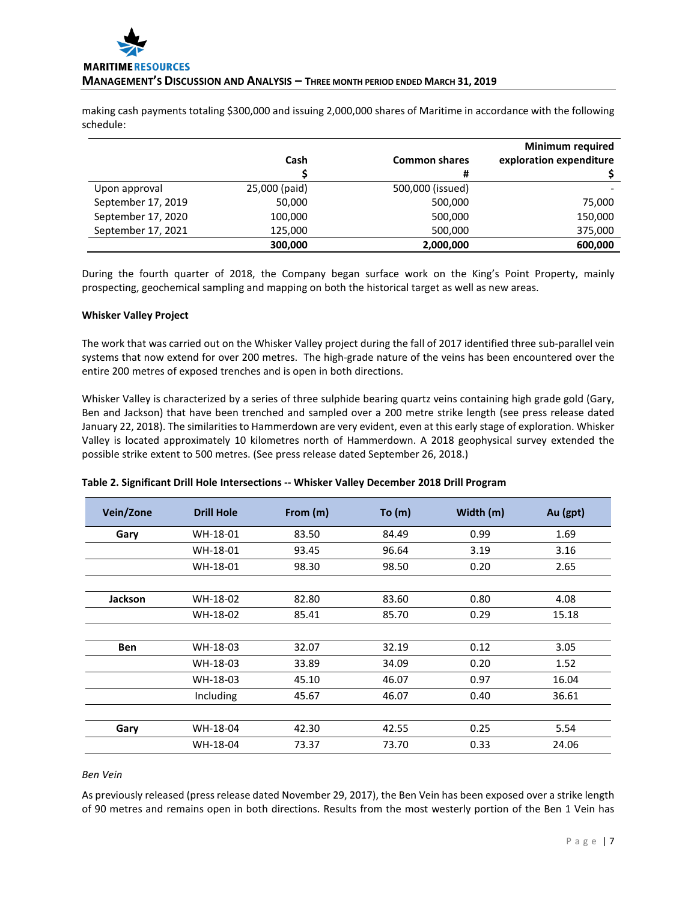

making cash payments totaling \$300,000 and issuing 2,000,000 shares of Maritime in accordance with the following schedule:

|                    |               |                      | <b>Minimum required</b> |
|--------------------|---------------|----------------------|-------------------------|
|                    | Cash          | <b>Common shares</b> | exploration expenditure |
|                    |               | #                    |                         |
| Upon approval      | 25,000 (paid) | 500,000 (issued)     |                         |
| September 17, 2019 | 50,000        | 500,000              | 75,000                  |
| September 17, 2020 | 100,000       | 500,000              | 150,000                 |
| September 17, 2021 | 125,000       | 500,000              | 375,000                 |
|                    | 300,000       | 2,000,000            | 600,000                 |

During the fourth quarter of 2018, the Company began surface work on the King's Point Property, mainly prospecting, geochemical sampling and mapping on both the historical target as well as new areas.

#### **Whisker Valley Project**

The work that was carried out on the Whisker Valley project during the fall of 2017 identified three sub-parallel vein systems that now extend for over 200 metres. The high-grade nature of the veins has been encountered over the entire 200 metres of exposed trenches and is open in both directions.

Whisker Valley is characterized by a series of three sulphide bearing quartz veins containing high grade gold (Gary, Ben and Jackson) that have been trenched and sampled over a 200 metre strike length (see press release dated January 22, 2018). The similarities to Hammerdown are very evident, even at this early stage of exploration. Whisker Valley is located approximately 10 kilometres north of Hammerdown. A 2018 geophysical survey extended the possible strike extent to 500 metres. (See press release dated September 26, 2018.)

| Vein/Zone      | <b>Drill Hole</b> | From (m) | To $(m)$ | Width (m) | Au (gpt) |
|----------------|-------------------|----------|----------|-----------|----------|
| Gary           | WH-18-01          | 83.50    | 84.49    | 0.99      | 1.69     |
|                | WH-18-01          | 93.45    | 96.64    | 3.19      | 3.16     |
|                | WH-18-01          | 98.30    | 98.50    | 0.20      | 2.65     |
|                |                   |          |          |           |          |
| <b>Jackson</b> | WH-18-02          | 82.80    | 83.60    | 0.80      | 4.08     |
|                | WH-18-02          | 85.41    | 85.70    | 0.29      | 15.18    |
|                |                   |          |          |           |          |
| <b>Ben</b>     | WH-18-03          | 32.07    | 32.19    | 0.12      | 3.05     |
|                | WH-18-03          | 33.89    | 34.09    | 0.20      | 1.52     |
|                | WH-18-03          | 45.10    | 46.07    | 0.97      | 16.04    |
|                | Including         | 45.67    | 46.07    | 0.40      | 36.61    |
|                |                   |          |          |           |          |
| Gary           | WH-18-04          | 42.30    | 42.55    | 0.25      | 5.54     |
|                | WH-18-04          | 73.37    | 73.70    | 0.33      | 24.06    |

## **Table 2. Significant Drill Hole Intersections -- Whisker Valley December 2018 Drill Program**

*Ben Vein*

As previously released (press release dated November 29, 2017), the Ben Vein has been exposed over a strike length of 90 metres and remains open in both directions. Results from the most westerly portion of the Ben 1 Vein has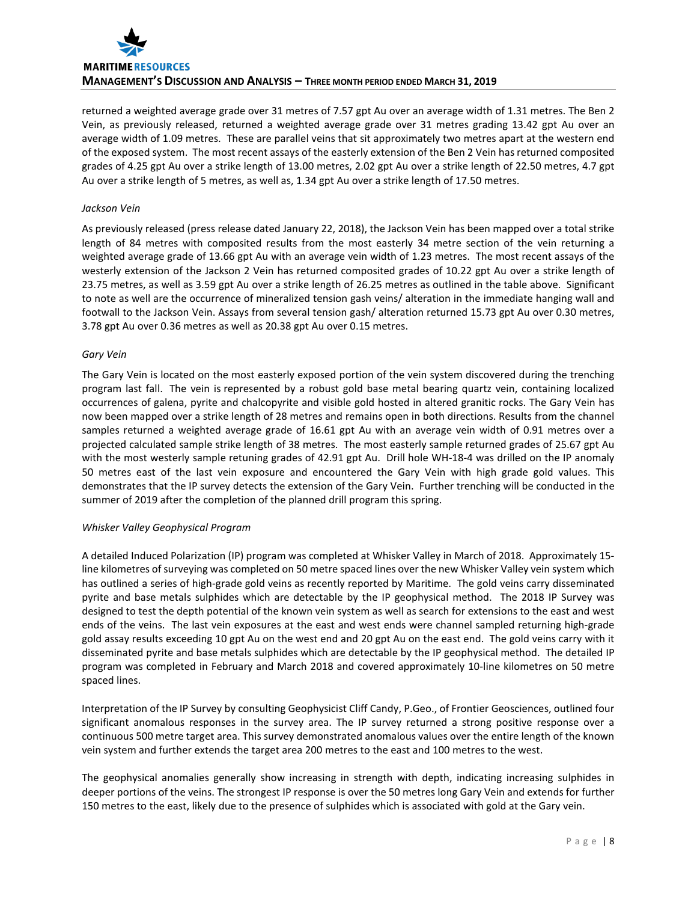returned a weighted average grade over 31 metres of 7.57 gpt Au over an average width of 1.31 metres. The Ben 2 Vein, as previously released, returned a weighted average grade over 31 metres grading 13.42 gpt Au over an average width of 1.09 metres. These are parallel veins that sit approximately two metres apart at the western end of the exposed system. The most recent assays of the easterly extension of the Ben 2 Vein has returned composited grades of 4.25 gpt Au over a strike length of 13.00 metres, 2.02 gpt Au over a strike length of 22.50 metres, 4.7 gpt Au over a strike length of 5 metres, as well as, 1.34 gpt Au over a strike length of 17.50 metres.

## *Jackson Vein*

As previously released (press release dated January 22, 2018), the Jackson Vein has been mapped over a total strike length of 84 metres with composited results from the most easterly 34 metre section of the vein returning a weighted average grade of 13.66 gpt Au with an average vein width of 1.23 metres. The most recent assays of the westerly extension of the Jackson 2 Vein has returned composited grades of 10.22 gpt Au over a strike length of 23.75 metres, as well as 3.59 gpt Au over a strike length of 26.25 metres as outlined in the table above. Significant to note as well are the occurrence of mineralized tension gash veins/ alteration in the immediate hanging wall and footwall to the Jackson Vein. Assays from several tension gash/ alteration returned 15.73 gpt Au over 0.30 metres, 3.78 gpt Au over 0.36 metres as well as 20.38 gpt Au over 0.15 metres.

# *Gary Vein*

The Gary Vein is located on the most easterly exposed portion of the vein system discovered during the trenching program last fall. The vein is represented by a robust gold base metal bearing quartz vein, containing localized occurrences of galena, pyrite and chalcopyrite and visible gold hosted in altered granitic rocks. The Gary Vein has now been mapped over a strike length of 28 metres and remains open in both directions. Results from the channel samples returned a weighted average grade of 16.61 gpt Au with an average vein width of 0.91 metres over a projected calculated sample strike length of 38 metres. The most easterly sample returned grades of 25.67 gpt Au with the most westerly sample retuning grades of 42.91 gpt Au. Drill hole WH-18-4 was drilled on the IP anomaly 50 metres east of the last vein exposure and encountered the Gary Vein with high grade gold values. This demonstrates that the IP survey detects the extension of the Gary Vein. Further trenching will be conducted in the summer of 2019 after the completion of the planned drill program this spring.

#### *Whisker Valley Geophysical Program*

A detailed Induced Polarization (IP) program was completed at Whisker Valley in March of 2018. Approximately 15 line kilometres of surveying was completed on 50 metre spaced lines over the new Whisker Valley vein system which has outlined a series of high-grade gold veins as recently reported by Maritime. The gold veins carry disseminated pyrite and base metals sulphides which are detectable by the IP geophysical method. The 2018 IP Survey was designed to test the depth potential of the known vein system as well as search for extensions to the east and west ends of the veins. The last vein exposures at the east and west ends were channel sampled returning high-grade gold assay results exceeding 10 gpt Au on the west end and 20 gpt Au on the east end. The gold veins carry with it disseminated pyrite and base metals sulphides which are detectable by the IP geophysical method. The detailed IP program was completed in February and March 2018 and covered approximately 10-line kilometres on 50 metre spaced lines.

Interpretation of the IP Survey by consulting Geophysicist Cliff Candy, P.Geo., of Frontier Geosciences, outlined four significant anomalous responses in the survey area. The IP survey returned a strong positive response over a continuous 500 metre target area. This survey demonstrated anomalous values over the entire length of the known vein system and further extends the target area 200 metres to the east and 100 metres to the west.

The geophysical anomalies generally show increasing in strength with depth, indicating increasing sulphides in deeper portions of the veins. The strongest IP response is over the 50 metres long Gary Vein and extends for further 150 metres to the east, likely due to the presence of sulphides which is associated with gold at the Gary vein.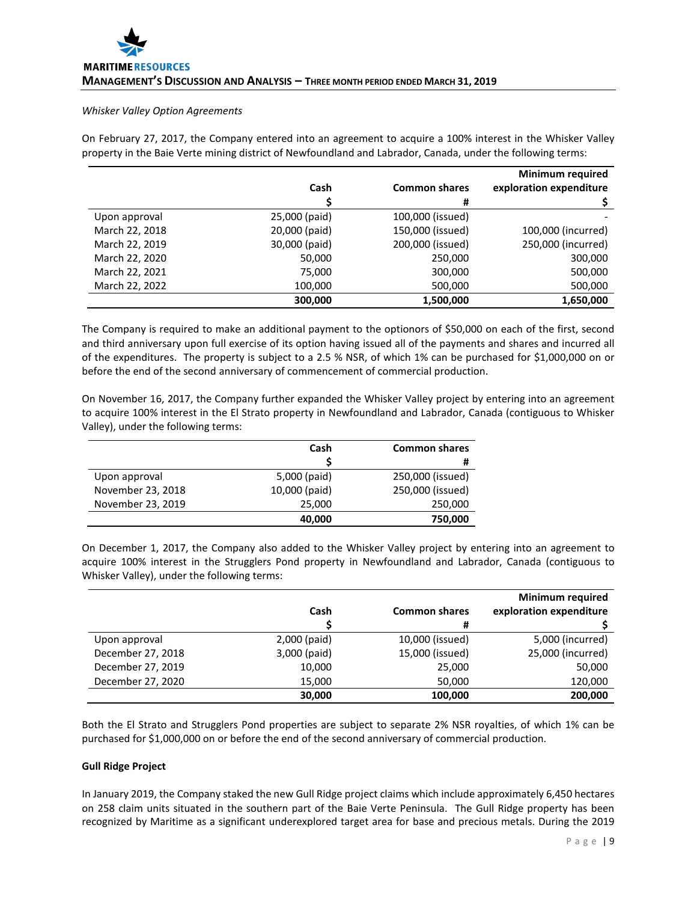#### *Whisker Valley Option Agreements*

On February 27, 2017, the Company entered into an agreement to acquire a 100% interest in the Whisker Valley property in the Baie Verte mining district of Newfoundland and Labrador, Canada, under the following terms:

|                |               |                      | <b>Minimum required</b> |
|----------------|---------------|----------------------|-------------------------|
|                | Cash          | <b>Common shares</b> | exploration expenditure |
|                |               | #                    |                         |
| Upon approval  | 25,000 (paid) | 100,000 (issued)     |                         |
| March 22, 2018 | 20,000 (paid) | 150,000 (issued)     | 100,000 (incurred)      |
| March 22, 2019 | 30,000 (paid) | 200,000 (issued)     | 250,000 (incurred)      |
| March 22, 2020 | 50,000        | 250,000              | 300,000                 |
| March 22, 2021 | 75,000        | 300,000              | 500,000                 |
| March 22, 2022 | 100,000       | 500,000              | 500,000                 |
|                | 300,000       | 1,500,000            | 1,650,000               |

The Company is required to make an additional payment to the optionors of \$50,000 on each of the first, second and third anniversary upon full exercise of its option having issued all of the payments and shares and incurred all of the expenditures. The property is subject to a 2.5 % NSR, of which 1% can be purchased for \$1,000,000 on or before the end of the second anniversary of commencement of commercial production.

On November 16, 2017, the Company further expanded the Whisker Valley project by entering into an agreement to acquire 100% interest in the El Strato property in Newfoundland and Labrador, Canada (contiguous to Whisker Valley), under the following terms:

|                   | Cash          | <b>Common shares</b> |
|-------------------|---------------|----------------------|
|                   |               | #                    |
| Upon approval     | 5,000 (paid)  | 250,000 (issued)     |
| November 23, 2018 | 10,000 (paid) | 250,000 (issued)     |
| November 23, 2019 | 25,000        | 250,000              |
|                   | 40,000        | 750,000              |

On December 1, 2017, the Company also added to the Whisker Valley project by entering into an agreement to acquire 100% interest in the Strugglers Pond property in Newfoundland and Labrador, Canada (contiguous to Whisker Valley), under the following terms:

|                   |              |                      | <b>Minimum required</b> |
|-------------------|--------------|----------------------|-------------------------|
|                   | Cash         | <b>Common shares</b> | exploration expenditure |
|                   |              | #                    |                         |
| Upon approval     | 2,000 (paid) | 10,000 (issued)      | 5,000 (incurred)        |
| December 27, 2018 | 3,000 (paid) | 15,000 (issued)      | 25,000 (incurred)       |
| December 27, 2019 | 10,000       | 25,000               | 50,000                  |
| December 27, 2020 | 15,000       | 50,000               | 120,000                 |
|                   | 30,000       | 100,000              | 200,000                 |

Both the El Strato and Strugglers Pond properties are subject to separate 2% NSR royalties, of which 1% can be purchased for \$1,000,000 on or before the end of the second anniversary of commercial production.

#### **Gull Ridge Project**

In January 2019, the Company staked the new Gull Ridge project claims which include approximately 6,450 hectares on 258 claim units situated in the southern part of the Baie Verte Peninsula. The Gull Ridge property has been recognized by Maritime as a significant underexplored target area for base and precious metals. During the 2019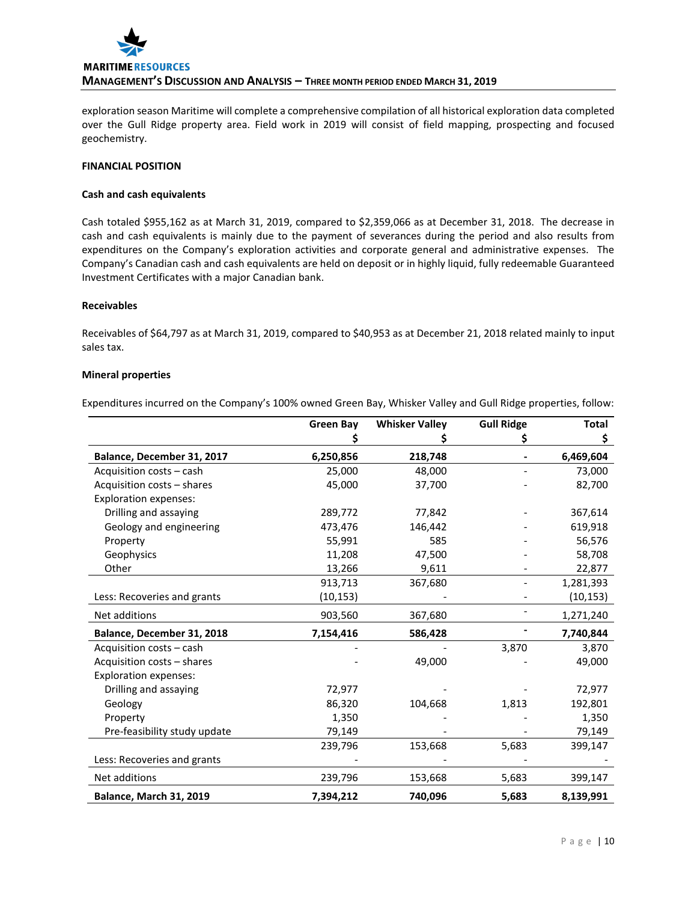

exploration season Maritime will complete a comprehensive compilation of all historical exploration data completed over the Gull Ridge property area. Field work in 2019 will consist of field mapping, prospecting and focused geochemistry.

#### **FINANCIAL POSITION**

#### **Cash and cash equivalents**

Cash totaled \$955,162 as at March 31, 2019, compared to \$2,359,066 as at December 31, 2018. The decrease in cash and cash equivalents is mainly due to the payment of severances during the period and also results from expenditures on the Company's exploration activities and corporate general and administrative expenses. The Company's Canadian cash and cash equivalents are held on deposit or in highly liquid, fully redeemable Guaranteed Investment Certificates with a major Canadian bank.

#### **Receivables**

Receivables of \$64,797 as at March 31, 2019, compared to \$40,953 as at December 21, 2018 related mainly to input sales tax.

## **Mineral properties**

Expenditures incurred on the Company's 100% owned Green Bay, Whisker Valley and Gull Ridge properties, follow:

|                                | <b>Green Bay</b> | <b>Whisker Valley</b> | <b>Gull Ridge</b> | <b>Total</b> |
|--------------------------------|------------------|-----------------------|-------------------|--------------|
|                                |                  |                       |                   | \$           |
| Balance, December 31, 2017     | 6,250,856        | 218,748               |                   | 6,469,604    |
| Acquisition costs - cash       | 25,000           | 48,000                |                   | 73,000       |
| Acquisition costs - shares     | 45,000           | 37,700                |                   | 82,700       |
| <b>Exploration expenses:</b>   |                  |                       |                   |              |
| Drilling and assaying          | 289,772          | 77,842                |                   | 367,614      |
| Geology and engineering        | 473,476          | 146,442               |                   | 619,918      |
| Property                       | 55,991           | 585                   |                   | 56,576       |
| Geophysics                     | 11,208           | 47,500                |                   | 58,708       |
| Other                          | 13,266           | 9,611                 |                   | 22,877       |
|                                | 913,713          | 367,680               |                   | 1,281,393    |
| Less: Recoveries and grants    | (10, 153)        |                       |                   | (10, 153)    |
| Net additions                  | 903,560          | 367,680               |                   | 1,271,240    |
| Balance, December 31, 2018     | 7,154,416        | 586,428               |                   | 7,740,844    |
| Acquisition costs - cash       |                  |                       | 3,870             | 3,870        |
| Acquisition costs - shares     |                  | 49,000                |                   | 49,000       |
| <b>Exploration expenses:</b>   |                  |                       |                   |              |
| Drilling and assaying          | 72,977           |                       |                   | 72,977       |
| Geology                        | 86,320           | 104,668               | 1,813             | 192,801      |
| Property                       | 1,350            |                       |                   | 1,350        |
| Pre-feasibility study update   | 79,149           |                       |                   | 79,149       |
|                                | 239,796          | 153,668               | 5,683             | 399,147      |
| Less: Recoveries and grants    |                  |                       |                   |              |
| Net additions                  | 239,796          | 153,668               | 5,683             | 399,147      |
| <b>Balance, March 31, 2019</b> | 7,394,212        | 740,096               | 5,683             | 8,139,991    |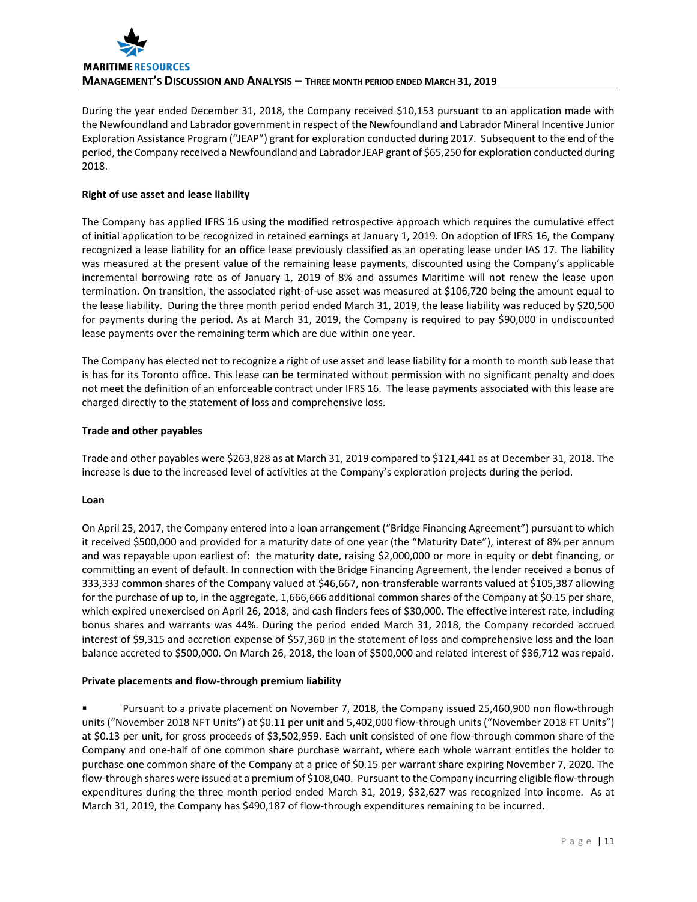

During the year ended December 31, 2018, the Company received \$10,153 pursuant to an application made with the Newfoundland and Labrador government in respect of the Newfoundland and Labrador Mineral Incentive Junior Exploration Assistance Program ("JEAP") grant for exploration conducted during 2017. Subsequent to the end of the period, the Company received a Newfoundland and Labrador JEAP grant of \$65,250 for exploration conducted during 2018.

## **Right of use asset and lease liability**

The Company has applied IFRS 16 using the modified retrospective approach which requires the cumulative effect of initial application to be recognized in retained earnings at January 1, 2019. On adoption of IFRS 16, the Company recognized a lease liability for an office lease previously classified as an operating lease under IAS 17. The liability was measured at the present value of the remaining lease payments, discounted using the Company's applicable incremental borrowing rate as of January 1, 2019 of 8% and assumes Maritime will not renew the lease upon termination. On transition, the associated right-of-use asset was measured at \$106,720 being the amount equal to the lease liability. During the three month period ended March 31, 2019, the lease liability was reduced by \$20,500 for payments during the period. As at March 31, 2019, the Company is required to pay \$90,000 in undiscounted lease payments over the remaining term which are due within one year.

The Company has elected not to recognize a right of use asset and lease liability for a month to month sub lease that is has for its Toronto office. This lease can be terminated without permission with no significant penalty and does not meet the definition of an enforceable contract under IFRS 16. The lease payments associated with this lease are charged directly to the statement of loss and comprehensive loss.

#### **Trade and other payables**

Trade and other payables were \$263,828 as at March 31, 2019 compared to \$121,441 as at December 31, 2018. The increase is due to the increased level of activities at the Company's exploration projects during the period.

#### **Loan**

On April 25, 2017, the Company entered into a loan arrangement ("Bridge Financing Agreement") pursuant to which it received \$500,000 and provided for a maturity date of one year (the "Maturity Date"), interest of 8% per annum and was repayable upon earliest of: the maturity date, raising \$2,000,000 or more in equity or debt financing, or committing an event of default. In connection with the Bridge Financing Agreement, the lender received a bonus of 333,333 common shares of the Company valued at \$46,667, non-transferable warrants valued at \$105,387 allowing for the purchase of up to, in the aggregate, 1,666,666 additional common shares of the Company at \$0.15 per share, which expired unexercised on April 26, 2018, and cash finders fees of \$30,000. The effective interest rate, including bonus shares and warrants was 44%. During the period ended March 31, 2018, the Company recorded accrued interest of \$9,315 and accretion expense of \$57,360 in the statement of loss and comprehensive loss and the loan balance accreted to \$500,000. On March 26, 2018, the loan of \$500,000 and related interest of \$36,712 was repaid.

#### **Private placements and flow-through premium liability**

 Pursuant to a private placement on November 7, 2018, the Company issued 25,460,900 non flow-through units ("November 2018 NFT Units") at \$0.11 per unit and 5,402,000 flow-through units ("November 2018 FT Units") at \$0.13 per unit, for gross proceeds of \$3,502,959. Each unit consisted of one flow-through common share of the Company and one-half of one common share purchase warrant, where each whole warrant entitles the holder to purchase one common share of the Company at a price of \$0.15 per warrant share expiring November 7, 2020. The flow-through shares were issued at a premium of \$108,040. Pursuant to the Company incurring eligible flow-through expenditures during the three month period ended March 31, 2019, \$32,627 was recognized into income. As at March 31, 2019, the Company has \$490,187 of flow-through expenditures remaining to be incurred.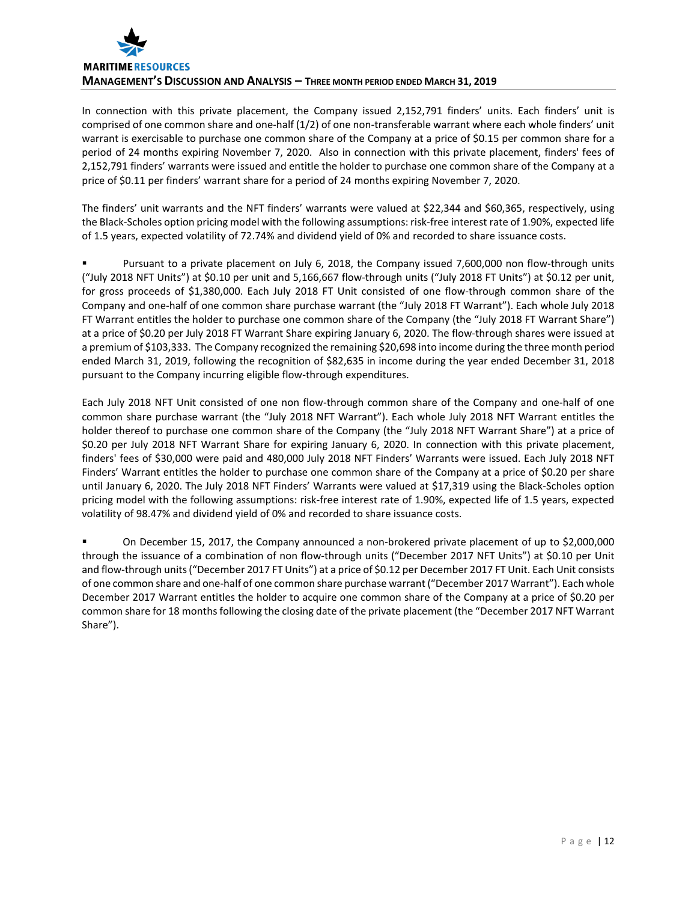In connection with this private placement, the Company issued 2,152,791 finders' units. Each finders' unit is comprised of one common share and one-half (1/2) of one non-transferable warrant where each whole finders' unit warrant is exercisable to purchase one common share of the Company at a price of \$0.15 per common share for a period of 24 months expiring November 7, 2020. Also in connection with this private placement, finders' fees of 2,152,791 finders' warrants were issued and entitle the holder to purchase one common share of the Company at a price of \$0.11 per finders' warrant share for a period of 24 months expiring November 7, 2020.

The finders' unit warrants and the NFT finders' warrants were valued at \$22,344 and \$60,365, respectively, using the Black-Scholes option pricing model with the following assumptions: risk-free interest rate of 1.90%, expected life of 1.5 years, expected volatility of 72.74% and dividend yield of 0% and recorded to share issuance costs.

 Pursuant to a private placement on July 6, 2018, the Company issued 7,600,000 non flow-through units ("July 2018 NFT Units") at \$0.10 per unit and 5,166,667 flow-through units ("July 2018 FT Units") at \$0.12 per unit, for gross proceeds of \$1,380,000. Each July 2018 FT Unit consisted of one flow-through common share of the Company and one-half of one common share purchase warrant (the "July 2018 FT Warrant"). Each whole July 2018 FT Warrant entitles the holder to purchase one common share of the Company (the "July 2018 FT Warrant Share") at a price of \$0.20 per July 2018 FT Warrant Share expiring January 6, 2020. The flow-through shares were issued at a premium of \$103,333. The Company recognized the remaining \$20,698 into income during the three month period ended March 31, 2019, following the recognition of \$82,635 in income during the year ended December 31, 2018 pursuant to the Company incurring eligible flow-through expenditures.

Each July 2018 NFT Unit consisted of one non flow-through common share of the Company and one-half of one common share purchase warrant (the "July 2018 NFT Warrant"). Each whole July 2018 NFT Warrant entitles the holder thereof to purchase one common share of the Company (the "July 2018 NFT Warrant Share") at a price of \$0.20 per July 2018 NFT Warrant Share for expiring January 6, 2020. In connection with this private placement, finders' fees of \$30,000 were paid and 480,000 July 2018 NFT Finders' Warrants were issued. Each July 2018 NFT Finders' Warrant entitles the holder to purchase one common share of the Company at a price of \$0.20 per share until January 6, 2020. The July 2018 NFT Finders' Warrants were valued at \$17,319 using the Black-Scholes option pricing model with the following assumptions: risk-free interest rate of 1.90%, expected life of 1.5 years, expected volatility of 98.47% and dividend yield of 0% and recorded to share issuance costs.

 On December 15, 2017, the Company announced a non-brokered private placement of up to \$2,000,000 through the issuance of a combination of non flow-through units ("December 2017 NFT Units") at \$0.10 per Unit and flow-through units ("December 2017 FT Units") at a price of \$0.12 per December 2017 FT Unit. Each Unit consists of one common share and one-half of one common share purchase warrant ("December 2017 Warrant"). Each whole December 2017 Warrant entitles the holder to acquire one common share of the Company at a price of \$0.20 per common share for 18 months following the closing date of the private placement (the "December 2017 NFT Warrant Share").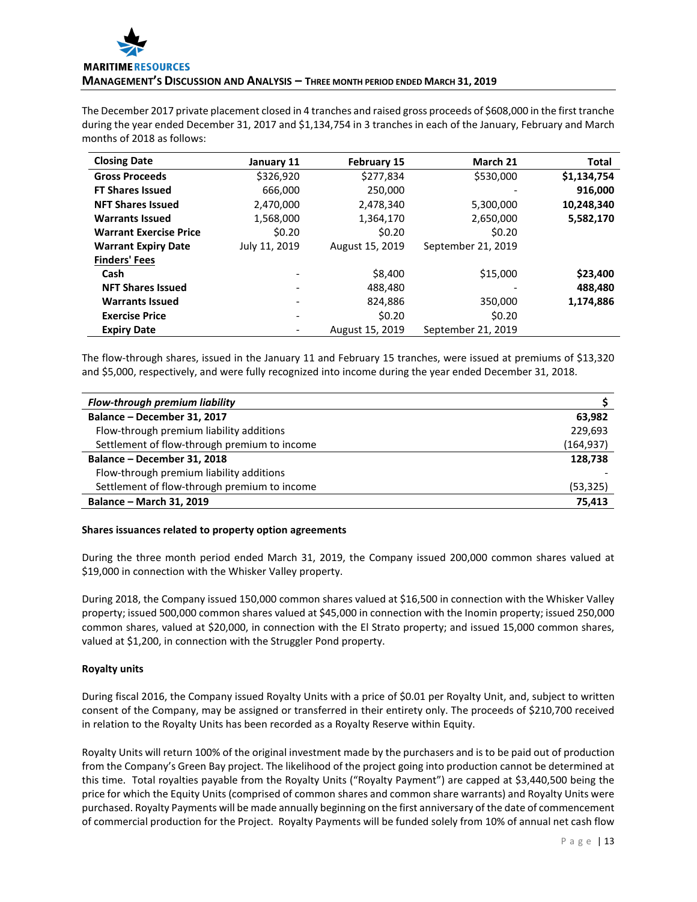

The December 2017 private placement closed in 4 tranches and raised gross proceeds of \$608,000 in the first tranche during the year ended December 31, 2017 and \$1,134,754 in 3 tranches in each of the January, February and March months of 2018 as follows:

| <b>Closing Date</b>           | January 11    | <b>February 15</b> | March 21           | Total       |
|-------------------------------|---------------|--------------------|--------------------|-------------|
| <b>Gross Proceeds</b>         | \$326,920     | \$277,834          | \$530,000          | \$1,134,754 |
| <b>FT Shares Issued</b>       | 666,000       | 250,000            |                    | 916,000     |
| <b>NFT Shares Issued</b>      | 2,470,000     | 2,478,340          | 5,300,000          | 10,248,340  |
| <b>Warrants Issued</b>        | 1,568,000     | 1,364,170          | 2,650,000          | 5,582,170   |
| <b>Warrant Exercise Price</b> | \$0.20        | \$0.20             | \$0.20             |             |
| <b>Warrant Expiry Date</b>    | July 11, 2019 | August 15, 2019    | September 21, 2019 |             |
| <b>Finders' Fees</b>          |               |                    |                    |             |
| Cash                          |               | \$8,400            | \$15,000           | \$23,400    |
| <b>NFT Shares Issued</b>      |               | 488,480            |                    | 488,480     |
| <b>Warrants Issued</b>        |               | 824,886            | 350,000            | 1.174.886   |
| <b>Exercise Price</b>         |               | \$0.20             | \$0.20             |             |
| <b>Expiry Date</b>            |               | August 15, 2019    | September 21, 2019 |             |

The flow-through shares, issued in the January 11 and February 15 tranches, were issued at premiums of \$13,320 and \$5,000, respectively, and were fully recognized into income during the year ended December 31, 2018.

| Flow-through premium liability               |            |
|----------------------------------------------|------------|
| Balance - December 31, 2017                  | 63,982     |
| Flow-through premium liability additions     | 229,693    |
| Settlement of flow-through premium to income | (164, 937) |
| Balance - December 31, 2018                  | 128,738    |
| Flow-through premium liability additions     |            |
| Settlement of flow-through premium to income | (53,325)   |
| <b>Balance - March 31, 2019</b>              | 75,413     |

#### **Shares issuances related to property option agreements**

During the three month period ended March 31, 2019, the Company issued 200,000 common shares valued at \$19,000 in connection with the Whisker Valley property.

During 2018, the Company issued 150,000 common shares valued at \$16,500 in connection with the Whisker Valley property; issued 500,000 common shares valued at \$45,000 in connection with the Inomin property; issued 250,000 common shares, valued at \$20,000, in connection with the El Strato property; and issued 15,000 common shares, valued at \$1,200, in connection with the Struggler Pond property.

# **Royalty units**

During fiscal 2016, the Company issued Royalty Units with a price of \$0.01 per Royalty Unit, and, subject to written consent of the Company, may be assigned or transferred in their entirety only. The proceeds of \$210,700 received in relation to the Royalty Units has been recorded as a Royalty Reserve within Equity.

Royalty Units will return 100% of the original investment made by the purchasers and is to be paid out of production from the Company's Green Bay project. The likelihood of the project going into production cannot be determined at this time. Total royalties payable from the Royalty Units ("Royalty Payment") are capped at \$3,440,500 being the price for which the Equity Units (comprised of common shares and common share warrants) and Royalty Units were purchased. Royalty Payments will be made annually beginning on the first anniversary of the date of commencement of commercial production for the Project. Royalty Payments will be funded solely from 10% of annual net cash flow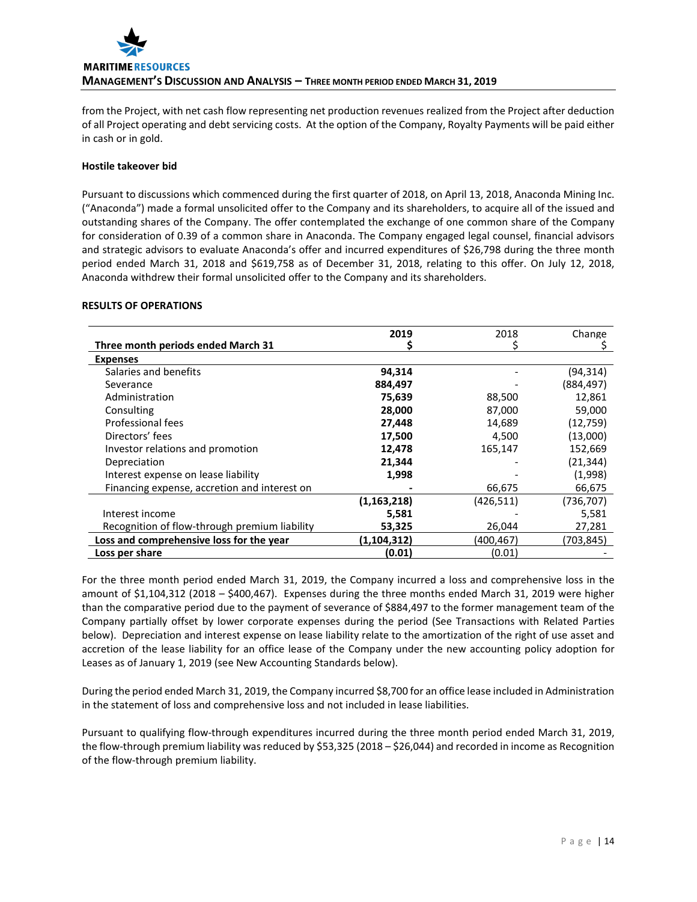

from the Project, with net cash flow representing net production revenues realized from the Project after deduction of all Project operating and debt servicing costs. At the option of the Company, Royalty Payments will be paid either in cash or in gold.

#### **Hostile takeover bid**

Pursuant to discussions which commenced during the first quarter of 2018, on April 13, 2018, Anaconda Mining Inc. ("Anaconda") made a formal unsolicited offer to the Company and its shareholders, to acquire all of the issued and outstanding shares of the Company. The offer contemplated the exchange of one common share of the Company for consideration of 0.39 of a common share in Anaconda. The Company engaged legal counsel, financial advisors and strategic advisors to evaluate Anaconda's offer and incurred expenditures of \$26,798 during the three month period ended March 31, 2018 and \$619,758 as of December 31, 2018, relating to this offer. On July 12, 2018, Anaconda withdrew their formal unsolicited offer to the Company and its shareholders.

#### **RESULTS OF OPERATIONS**

|                                               | 2019          | 2018       | Change     |
|-----------------------------------------------|---------------|------------|------------|
| Three month periods ended March 31            |               |            |            |
| <b>Expenses</b>                               |               |            |            |
| Salaries and benefits                         | 94,314        |            | (94, 314)  |
| Severance                                     | 884,497       |            | (884,497)  |
| Administration                                | 75,639        | 88,500     | 12,861     |
| Consulting                                    | 28,000        | 87,000     | 59,000     |
| Professional fees                             | 27,448        | 14,689     | (12, 759)  |
| Directors' fees                               | 17,500        | 4,500      | (13,000)   |
| Investor relations and promotion              | 12,478        | 165,147    | 152,669    |
| Depreciation                                  | 21,344        |            | (21, 344)  |
| Interest expense on lease liability           | 1,998         |            | (1,998)    |
| Financing expense, accretion and interest on  |               | 66,675     | 66,675     |
|                                               | (1, 163, 218) | (426, 511) | (736, 707) |
| Interest income                               | 5,581         |            | 5,581      |
| Recognition of flow-through premium liability | 53,325        | 26,044     | 27,281     |
| Loss and comprehensive loss for the year      | (1,104,312)   | (400,467)  | (703,845)  |
| Loss per share                                | (0.01)        | (0.01)     |            |

For the three month period ended March 31, 2019, the Company incurred a loss and comprehensive loss in the amount of \$1,104,312 (2018 – \$400,467). Expenses during the three months ended March 31, 2019 were higher than the comparative period due to the payment of severance of \$884,497 to the former management team of the Company partially offset by lower corporate expenses during the period (See Transactions with Related Parties below). Depreciation and interest expense on lease liability relate to the amortization of the right of use asset and accretion of the lease liability for an office lease of the Company under the new accounting policy adoption for Leases as of January 1, 2019 (see New Accounting Standards below).

During the period ended March 31, 2019, the Company incurred \$8,700 for an office lease included in Administration in the statement of loss and comprehensive loss and not included in lease liabilities.

Pursuant to qualifying flow-through expenditures incurred during the three month period ended March 31, 2019, the flow-through premium liability was reduced by \$53,325 (2018 – \$26,044) and recorded in income as Recognition of the flow-through premium liability.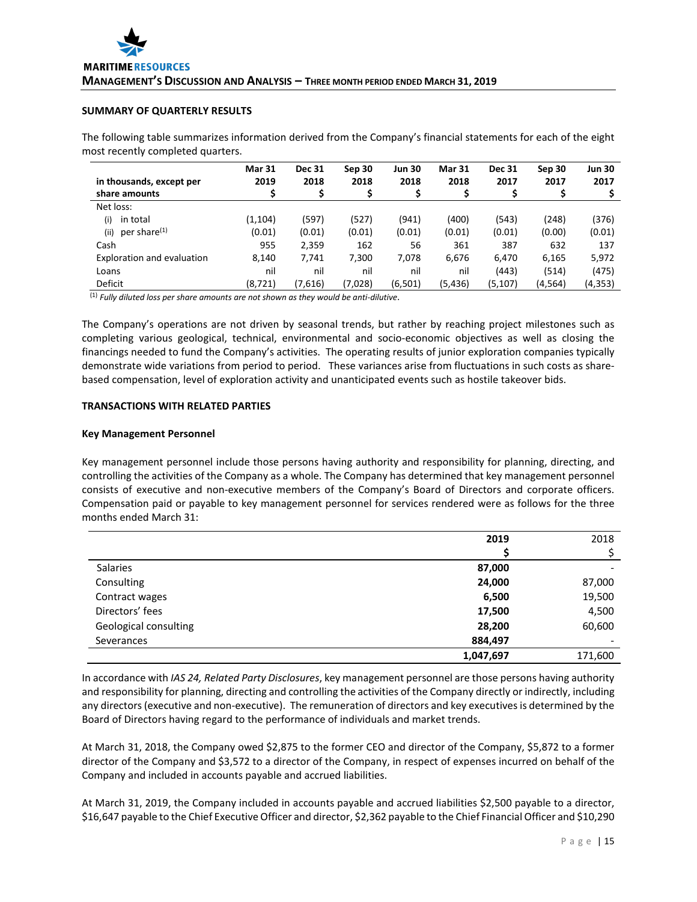## **SUMMARY OF QUARTERLY RESULTS**

The following table summarizes information derived from the Company's financial statements for each of the eight most recently completed quarters.

| in thousands, except per         | <b>Mar 31</b><br>2019 | <b>Dec 31</b><br>2018 | Sep 30<br>2018 | <b>Jun 30</b><br>2018 | <b>Mar 31</b><br>2018 | <b>Dec 31</b><br>2017 | Sep 30<br>2017 | <b>Jun 30</b><br>2017 |
|----------------------------------|-----------------------|-----------------------|----------------|-----------------------|-----------------------|-----------------------|----------------|-----------------------|
| share amounts                    |                       | \$                    | \$             | \$                    |                       |                       |                |                       |
| Net loss:                        |                       |                       |                |                       |                       |                       |                |                       |
| in total<br>(i)                  | (1,104)               | (597)                 | (527)          | (941)                 | (400)                 | (543)                 | (248)          | (376)                 |
| per share <sup>(1)</sup><br>(ii) | (0.01)                | (0.01)                | (0.01)         | (0.01)                | (0.01)                | (0.01)                | (0.00)         | (0.01)                |
| Cash                             | 955                   | 2,359                 | 162            | 56                    | 361                   | 387                   | 632            | 137                   |
| Exploration and evaluation       | 8,140                 | 7,741                 | 7,300          | 7,078                 | 6,676                 | 6.470                 | 6,165          | 5,972                 |
| Loans                            | nil                   | nil                   | nil            | nil                   | nil                   | (443)                 | (514)          | (475)                 |
| Deficit                          | (8, 721)              | (7,616)               | (7,028)        | (6,501)               | (5,436)               | (5, 107)              | (4, 564)       | (4, 353)              |

(1) *Fully diluted loss per share amounts are not shown as they would be anti-dilutive*.

The Company's operations are not driven by seasonal trends, but rather by reaching project milestones such as completing various geological, technical, environmental and socio-economic objectives as well as closing the financings needed to fund the Company's activities. The operating results of junior exploration companies typically demonstrate wide variations from period to period. These variances arise from fluctuations in such costs as sharebased compensation, level of exploration activity and unanticipated events such as hostile takeover bids.

#### **TRANSACTIONS WITH RELATED PARTIES**

#### **Key Management Personnel**

Key management personnel include those persons having authority and responsibility for planning, directing, and controlling the activities of the Company as a whole. The Company has determined that key management personnel consists of executive and non-executive members of the Company's Board of Directors and corporate officers. Compensation paid or payable to key management personnel for services rendered were as follows for the three months ended March 31:

|                       | 2019      | 2018    |
|-----------------------|-----------|---------|
|                       |           |         |
| Salaries              | 87,000    |         |
| Consulting            | 24,000    | 87,000  |
| Contract wages        | 6,500     | 19,500  |
| Directors' fees       | 17,500    | 4,500   |
| Geological consulting | 28,200    | 60,600  |
| Severances            | 884,497   |         |
|                       | 1,047,697 | 171,600 |

In accordance with *IAS 24, Related Party Disclosures*, key management personnel are those persons having authority and responsibility for planning, directing and controlling the activities of the Company directly or indirectly, including any directors (executive and non-executive). The remuneration of directors and key executives is determined by the Board of Directors having regard to the performance of individuals and market trends.

At March 31, 2018, the Company owed \$2,875 to the former CEO and director of the Company, \$5,872 to a former director of the Company and \$3,572 to a director of the Company, in respect of expenses incurred on behalf of the Company and included in accounts payable and accrued liabilities.

At March 31, 2019, the Company included in accounts payable and accrued liabilities \$2,500 payable to a director, \$16,647 payable to the Chief Executive Officer and director, \$2,362 payable to the Chief Financial Officer and \$10,290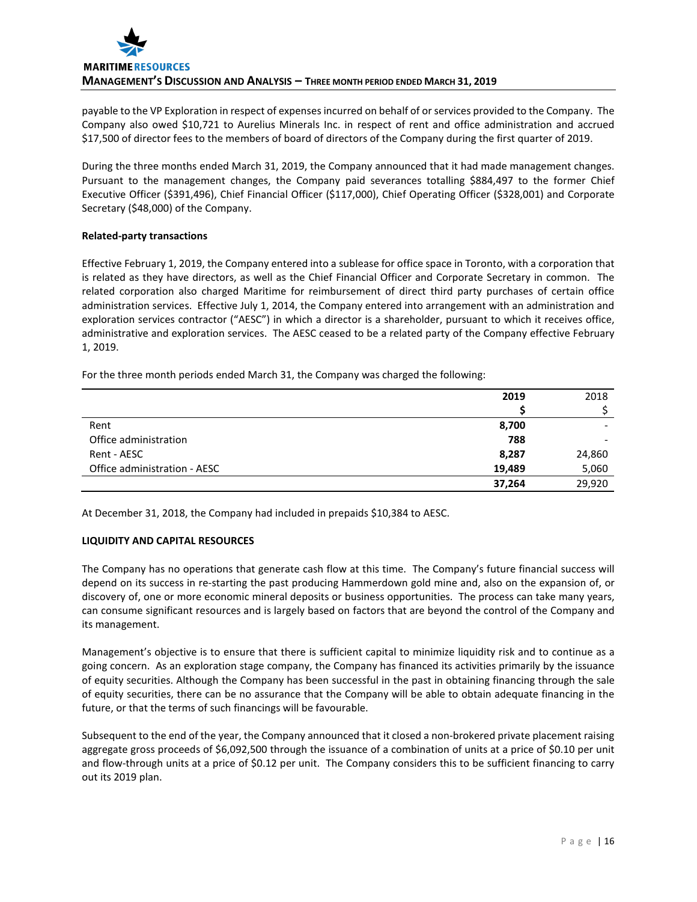

payable to the VP Exploration in respect of expenses incurred on behalf of or services provided to the Company. The Company also owed \$10,721 to Aurelius Minerals Inc. in respect of rent and office administration and accrued \$17,500 of director fees to the members of board of directors of the Company during the first quarter of 2019.

During the three months ended March 31, 2019, the Company announced that it had made management changes. Pursuant to the management changes, the Company paid severances totalling \$884,497 to the former Chief Executive Officer (\$391,496), Chief Financial Officer (\$117,000), Chief Operating Officer (\$328,001) and Corporate Secretary (\$48,000) of the Company.

#### **Related-party transactions**

Effective February 1, 2019, the Company entered into a sublease for office space in Toronto, with a corporation that is related as they have directors, as well as the Chief Financial Officer and Corporate Secretary in common. The related corporation also charged Maritime for reimbursement of direct third party purchases of certain office administration services. Effective July 1, 2014, the Company entered into arrangement with an administration and exploration services contractor ("AESC") in which a director is a shareholder, pursuant to which it receives office, administrative and exploration services. The AESC ceased to be a related party of the Company effective February 1, 2019.

For the three month periods ended March 31, the Company was charged the following:

|                              | 2019   | 2018   |
|------------------------------|--------|--------|
|                              |        |        |
| Rent                         | 8,700  | -      |
| Office administration        | 788    | -      |
| Rent - AESC                  | 8,287  | 24,860 |
| Office administration - AESC | 19,489 | 5,060  |
|                              | 37,264 | 29,920 |

At December 31, 2018, the Company had included in prepaids \$10,384 to AESC.

# **LIQUIDITY AND CAPITAL RESOURCES**

The Company has no operations that generate cash flow at this time. The Company's future financial success will depend on its success in re-starting the past producing Hammerdown gold mine and, also on the expansion of, or discovery of, one or more economic mineral deposits or business opportunities. The process can take many years, can consume significant resources and is largely based on factors that are beyond the control of the Company and its management.

Management's objective is to ensure that there is sufficient capital to minimize liquidity risk and to continue as a going concern. As an exploration stage company, the Company has financed its activities primarily by the issuance of equity securities. Although the Company has been successful in the past in obtaining financing through the sale of equity securities, there can be no assurance that the Company will be able to obtain adequate financing in the future, or that the terms of such financings will be favourable.

Subsequent to the end of the year, the Company announced that it closed a non-brokered private placement raising aggregate gross proceeds of \$6,092,500 through the issuance of a combination of units at a price of \$0.10 per unit and flow-through units at a price of \$0.12 per unit. The Company considers this to be sufficient financing to carry out its 2019 plan.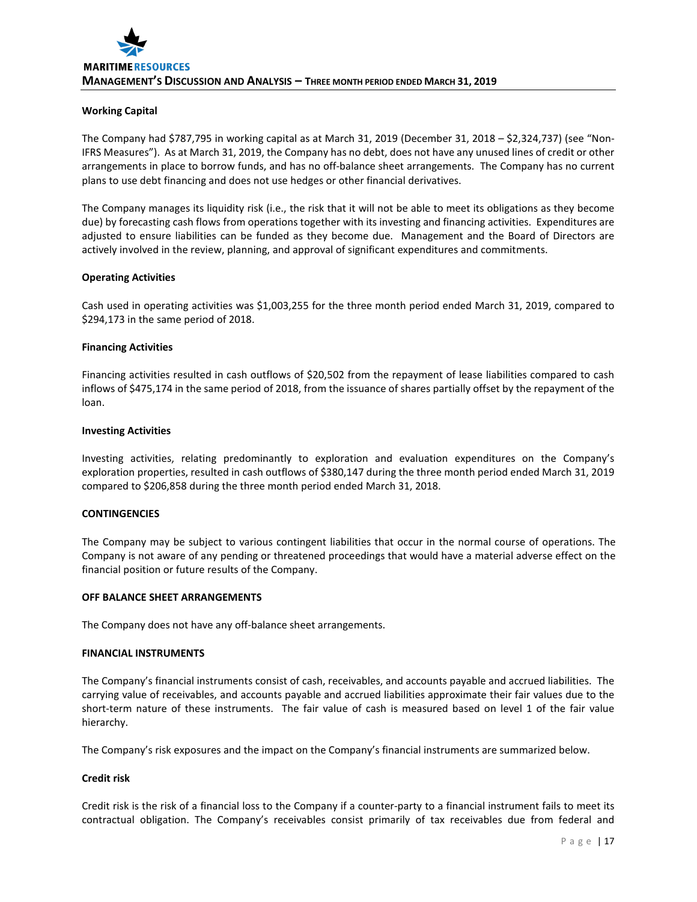## **Working Capital**

The Company had \$787,795 in working capital as at March 31, 2019 (December 31, 2018 – \$2,324,737) (see "Non-IFRS Measures"). As at March 31, 2019, the Company has no debt, does not have any unused lines of credit or other arrangements in place to borrow funds, and has no off-balance sheet arrangements. The Company has no current plans to use debt financing and does not use hedges or other financial derivatives.

The Company manages its liquidity risk (i.e., the risk that it will not be able to meet its obligations as they become due) by forecasting cash flows from operations together with its investing and financing activities. Expenditures are adjusted to ensure liabilities can be funded as they become due. Management and the Board of Directors are actively involved in the review, planning, and approval of significant expenditures and commitments.

#### **Operating Activities**

Cash used in operating activities was \$1,003,255 for the three month period ended March 31, 2019, compared to \$294,173 in the same period of 2018.

#### **Financing Activities**

Financing activities resulted in cash outflows of \$20,502 from the repayment of lease liabilities compared to cash inflows of \$475,174 in the same period of 2018, from the issuance of shares partially offset by the repayment of the loan.

#### **Investing Activities**

Investing activities, relating predominantly to exploration and evaluation expenditures on the Company's exploration properties, resulted in cash outflows of \$380,147 during the three month period ended March 31, 2019 compared to \$206,858 during the three month period ended March 31, 2018.

#### **CONTINGENCIES**

The Company may be subject to various contingent liabilities that occur in the normal course of operations. The Company is not aware of any pending or threatened proceedings that would have a material adverse effect on the financial position or future results of the Company.

#### **OFF BALANCE SHEET ARRANGEMENTS**

The Company does not have any off-balance sheet arrangements.

#### **FINANCIAL INSTRUMENTS**

The Company's financial instruments consist of cash, receivables, and accounts payable and accrued liabilities. The carrying value of receivables, and accounts payable and accrued liabilities approximate their fair values due to the short-term nature of these instruments. The fair value of cash is measured based on level 1 of the fair value hierarchy.

The Company's risk exposures and the impact on the Company's financial instruments are summarized below.

#### **Credit risk**

Credit risk is the risk of a financial loss to the Company if a counter-party to a financial instrument fails to meet its contractual obligation. The Company's receivables consist primarily of tax receivables due from federal and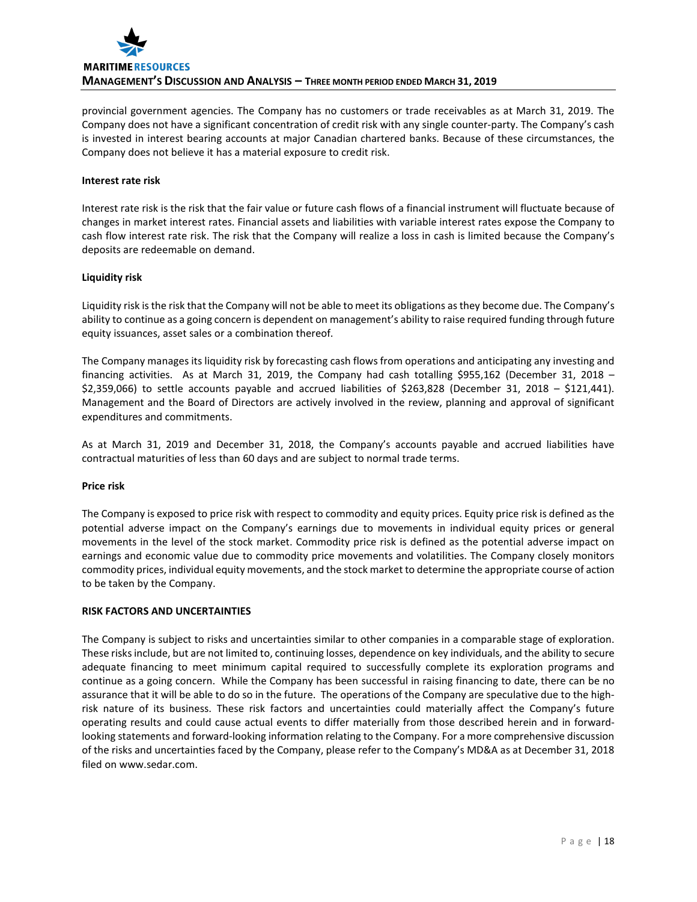

provincial government agencies. The Company has no customers or trade receivables as at March 31, 2019. The Company does not have a significant concentration of credit risk with any single counter-party. The Company's cash is invested in interest bearing accounts at major Canadian chartered banks. Because of these circumstances, the Company does not believe it has a material exposure to credit risk.

## **Interest rate risk**

Interest rate risk is the risk that the fair value or future cash flows of a financial instrument will fluctuate because of changes in market interest rates. Financial assets and liabilities with variable interest rates expose the Company to cash flow interest rate risk. The risk that the Company will realize a loss in cash is limited because the Company's deposits are redeemable on demand.

#### **Liquidity risk**

Liquidity risk is the risk that the Company will not be able to meet its obligations as they become due. The Company's ability to continue as a going concern is dependent on management's ability to raise required funding through future equity issuances, asset sales or a combination thereof.

The Company manages its liquidity risk by forecasting cash flows from operations and anticipating any investing and financing activities. As at March 31, 2019, the Company had cash totalling \$955,162 (December 31, 2018 – \$2,359,066) to settle accounts payable and accrued liabilities of \$263,828 (December 31, 2018 – \$121,441). Management and the Board of Directors are actively involved in the review, planning and approval of significant expenditures and commitments.

As at March 31, 2019 and December 31, 2018, the Company's accounts payable and accrued liabilities have contractual maturities of less than 60 days and are subject to normal trade terms.

#### **Price risk**

The Company is exposed to price risk with respect to commodity and equity prices. Equity price risk is defined as the potential adverse impact on the Company's earnings due to movements in individual equity prices or general movements in the level of the stock market. Commodity price risk is defined as the potential adverse impact on earnings and economic value due to commodity price movements and volatilities. The Company closely monitors commodity prices, individual equity movements, and the stock market to determine the appropriate course of action to be taken by the Company.

#### **RISK FACTORS AND UNCERTAINTIES**

The Company is subject to risks and uncertainties similar to other companies in a comparable stage of exploration. These risks include, but are not limited to, continuing losses, dependence on key individuals, and the ability to secure adequate financing to meet minimum capital required to successfully complete its exploration programs and continue as a going concern. While the Company has been successful in raising financing to date, there can be no assurance that it will be able to do so in the future. The operations of the Company are speculative due to the highrisk nature of its business. These risk factors and uncertainties could materially affect the Company's future operating results and could cause actual events to differ materially from those described herein and in forwardlooking statements and forward-looking information relating to the Company. For a more comprehensive discussion of the risks and uncertainties faced by the Company, please refer to the Company's MD&A as at December 31, 2018 filed on www.sedar.com.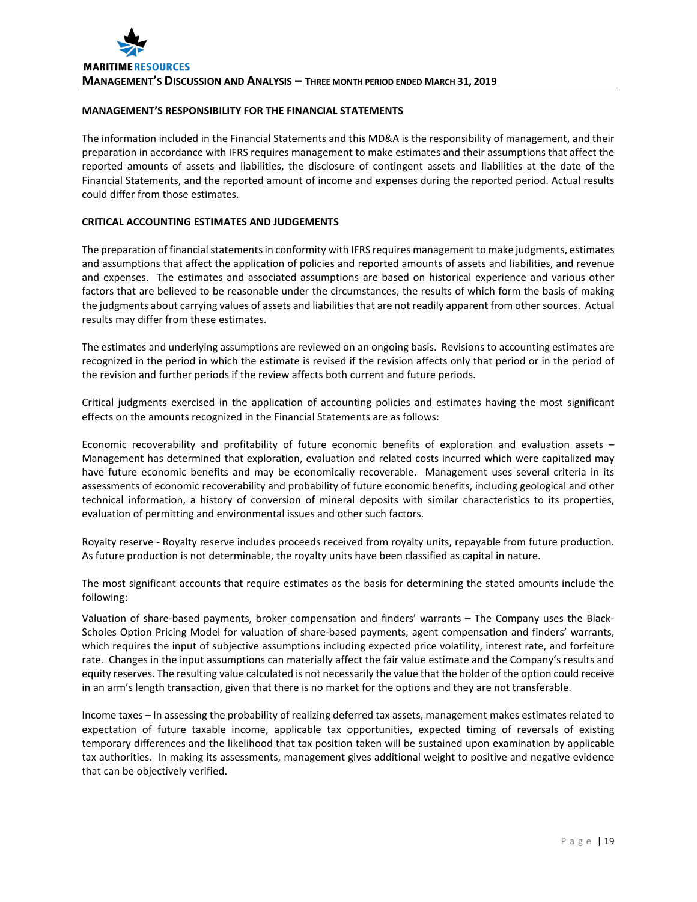# **MANAGEMENT'S RESPONSIBILITY FOR THE FINANCIAL STATEMENTS**

The information included in the Financial Statements and this MD&A is the responsibility of management, and their preparation in accordance with IFRS requires management to make estimates and their assumptions that affect the reported amounts of assets and liabilities, the disclosure of contingent assets and liabilities at the date of the Financial Statements, and the reported amount of income and expenses during the reported period. Actual results could differ from those estimates.

# **CRITICAL ACCOUNTING ESTIMATES AND JUDGEMENTS**

The preparation of financial statements in conformity with IFRS requires management to make judgments, estimates and assumptions that affect the application of policies and reported amounts of assets and liabilities, and revenue and expenses. The estimates and associated assumptions are based on historical experience and various other factors that are believed to be reasonable under the circumstances, the results of which form the basis of making the judgments about carrying values of assets and liabilities that are not readily apparent from other sources. Actual results may differ from these estimates.

The estimates and underlying assumptions are reviewed on an ongoing basis. Revisions to accounting estimates are recognized in the period in which the estimate is revised if the revision affects only that period or in the period of the revision and further periods if the review affects both current and future periods.

Critical judgments exercised in the application of accounting policies and estimates having the most significant effects on the amounts recognized in the Financial Statements are as follows:

Economic recoverability and profitability of future economic benefits of exploration and evaluation assets – Management has determined that exploration, evaluation and related costs incurred which were capitalized may have future economic benefits and may be economically recoverable. Management uses several criteria in its assessments of economic recoverability and probability of future economic benefits, including geological and other technical information, a history of conversion of mineral deposits with similar characteristics to its properties, evaluation of permitting and environmental issues and other such factors.

Royalty reserve - Royalty reserve includes proceeds received from royalty units, repayable from future production. As future production is not determinable, the royalty units have been classified as capital in nature.

The most significant accounts that require estimates as the basis for determining the stated amounts include the following:

Valuation of share-based payments, broker compensation and finders' warrants – The Company uses the Black-Scholes Option Pricing Model for valuation of share-based payments, agent compensation and finders' warrants, which requires the input of subjective assumptions including expected price volatility, interest rate, and forfeiture rate. Changes in the input assumptions can materially affect the fair value estimate and the Company's results and equity reserves. The resulting value calculated is not necessarily the value that the holder of the option could receive in an arm's length transaction, given that there is no market for the options and they are not transferable.

Income taxes – In assessing the probability of realizing deferred tax assets, management makes estimates related to expectation of future taxable income, applicable tax opportunities, expected timing of reversals of existing temporary differences and the likelihood that tax position taken will be sustained upon examination by applicable tax authorities. In making its assessments, management gives additional weight to positive and negative evidence that can be objectively verified.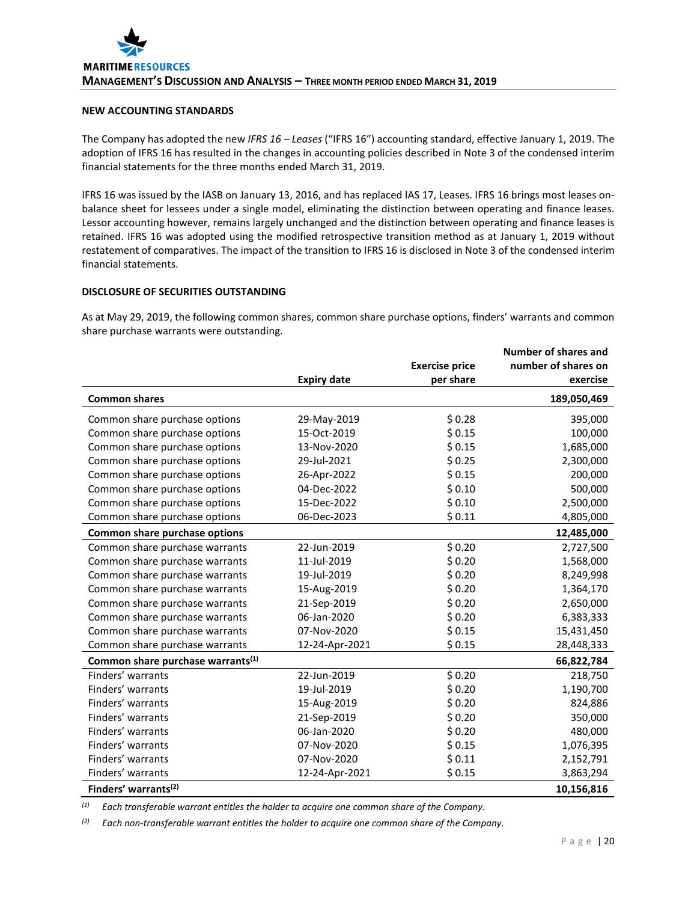## **NEW ACCOUNTING STANDARDS**

The Company has adopted the new *IFRS 16 – Leases* ("IFRS 16") accounting standard, effective January 1, 2019. The adoption of IFRS 16 has resulted in the changes in accounting policies described in Note 3 of the condensed interim financial statements for the three months ended March 31, 2019.

IFRS 16 was issued by the IASB on January 13, 2016, and has replaced IAS 17, Leases. IFRS 16 brings most leases onbalance sheet for lessees under a single model, eliminating the distinction between operating and finance leases. Lessor accounting however, remains largely unchanged and the distinction between operating and finance leases is retained. IFRS 16 was adopted using the modified retrospective transition method as at January 1, 2019 without restatement of comparatives. The impact of the transition to IFRS 16 is disclosed in Note 3 of the condensed interim financial statements.

# **DISCLOSURE OF SECURITIES OUTSTANDING**

As at May 29, 2019, the following common shares, common share purchase options, finders' warrants and common share purchase warrants were outstanding.

|                                               |                    |                                    | <b>Number of shares and</b>     |
|-----------------------------------------------|--------------------|------------------------------------|---------------------------------|
|                                               | <b>Expiry date</b> | <b>Exercise price</b><br>per share | number of shares on<br>exercise |
| <b>Common shares</b>                          |                    |                                    | 189,050,469                     |
| Common share purchase options                 | 29-May-2019        | \$0.28                             | 395,000                         |
| Common share purchase options                 | 15-Oct-2019        | \$0.15                             | 100,000                         |
| Common share purchase options                 | 13-Nov-2020        | \$0.15                             | 1,685,000                       |
| Common share purchase options                 | 29-Jul-2021        | \$0.25                             | 2,300,000                       |
|                                               |                    |                                    |                                 |
| Common share purchase options                 | 26-Apr-2022        | \$0.15                             | 200,000                         |
| Common share purchase options                 | 04-Dec-2022        | \$0.10                             | 500,000                         |
| Common share purchase options                 | 15-Dec-2022        | \$0.10                             | 2,500,000                       |
| Common share purchase options                 | 06-Dec-2023        | \$0.11                             | 4,805,000                       |
| Common share purchase options                 |                    |                                    | 12,485,000                      |
| Common share purchase warrants                | 22-Jun-2019        | \$0.20                             | 2,727,500                       |
| Common share purchase warrants                | 11-Jul-2019        | \$0.20                             | 1,568,000                       |
| Common share purchase warrants                | 19-Jul-2019        | \$0.20                             | 8,249,998                       |
| Common share purchase warrants                | 15-Aug-2019        | \$0.20                             | 1,364,170                       |
| Common share purchase warrants                | 21-Sep-2019        | \$0.20                             | 2,650,000                       |
| Common share purchase warrants                | 06-Jan-2020        | \$0.20                             | 6,383,333                       |
| Common share purchase warrants                | 07-Nov-2020        | \$0.15                             | 15,431,450                      |
| Common share purchase warrants                | 12-24-Apr-2021     | \$0.15                             | 28,448,333                      |
| Common share purchase warrants <sup>(1)</sup> |                    |                                    | 66,822,784                      |
| Finders' warrants                             | 22-Jun-2019        | \$0.20                             | 218,750                         |
| Finders' warrants                             | 19-Jul-2019        | \$0.20                             | 1,190,700                       |
| Finders' warrants                             | 15-Aug-2019        | \$0.20                             | 824,886                         |
| Finders' warrants                             | 21-Sep-2019        | \$0.20                             | 350,000                         |
| Finders' warrants                             | 06-Jan-2020        | \$0.20                             | 480,000                         |
| Finders' warrants                             | 07-Nov-2020        | \$0.15                             | 1,076,395                       |
| Finders' warrants                             | 07-Nov-2020        | \$0.11                             | 2,152,791                       |
| Finders' warrants                             | 12-24-Apr-2021     | \$0.15                             | 3,863,294                       |
| Finders' warrants <sup>(2)</sup>              |                    |                                    | 10,156,816                      |

*(1) Each transferable warrant entitles the holder to acquire one common share of the Company.*

*(2) Each non-transferable warrant entitles the holder to acquire one common share of the Company.*